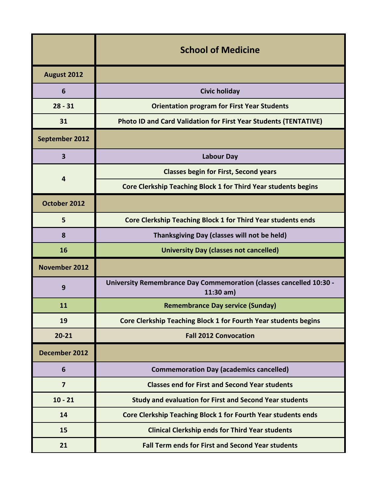|                         | <b>School of Medicine</b>                                                                 |
|-------------------------|-------------------------------------------------------------------------------------------|
| August 2012             |                                                                                           |
| 6                       | <b>Civic holiday</b>                                                                      |
| $28 - 31$               | <b>Orientation program for First Year Students</b>                                        |
| 31                      | <b>Photo ID and Card Validation for First Year Students (TENTATIVE)</b>                   |
| September 2012          |                                                                                           |
| $\overline{\mathbf{3}}$ | <b>Labour Day</b>                                                                         |
| 4                       | <b>Classes begin for First, Second years</b>                                              |
|                         | Core Clerkship Teaching Block 1 for Third Year students begins                            |
| October 2012            |                                                                                           |
| 5                       | Core Clerkship Teaching Block 1 for Third Year students ends                              |
| 8                       | Thanksgiving Day (classes will not be held)                                               |
| 16                      | <b>University Day (classes not cancelled)</b>                                             |
| <b>November 2012</b>    |                                                                                           |
| 9                       | <b>University Remembrance Day Commemoration (classes cancelled 10:30 -</b><br>$11:30$ am) |
| 11                      | <b>Remembrance Day service (Sunday)</b>                                                   |
| 19                      | Core Clerkship Teaching Block 1 for Fourth Year students begins                           |
| $20 - 21$               | <b>Fall 2012 Convocation</b>                                                              |
| December 2012           |                                                                                           |
| 6                       | <b>Commemoration Day (academics cancelled)</b>                                            |
| $\overline{7}$          | <b>Classes end for First and Second Year students</b>                                     |
| $10 - 21$               | <b>Study and evaluation for First and Second Year students</b>                            |
| 14                      | Core Clerkship Teaching Block 1 for Fourth Year students ends                             |
| 15                      | <b>Clinical Clerkship ends for Third Year students</b>                                    |
|                         |                                                                                           |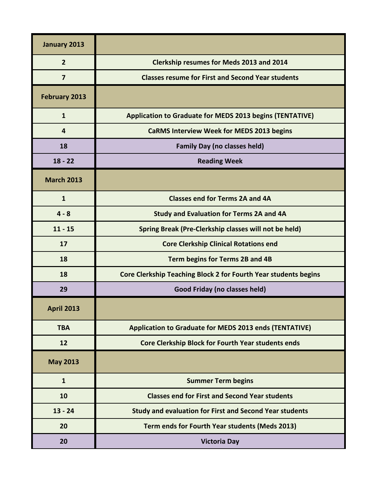| January 2013         |                                                                 |
|----------------------|-----------------------------------------------------------------|
| $\overline{2}$       | <b>Clerkship resumes for Meds 2013 and 2014</b>                 |
| $\overline{7}$       | <b>Classes resume for First and Second Year students</b>        |
| <b>February 2013</b> |                                                                 |
| $\mathbf{1}$         | <b>Application to Graduate for MEDS 2013 begins (TENTATIVE)</b> |
| 4                    | <b>CaRMS Interview Week for MEDS 2013 begins</b>                |
| 18                   | <b>Family Day (no classes held)</b>                             |
| $18 - 22$            | <b>Reading Week</b>                                             |
| <b>March 2013</b>    |                                                                 |
| $\mathbf{1}$         | <b>Classes end for Terms 2A and 4A</b>                          |
| $4 - 8$              | <b>Study and Evaluation for Terms 2A and 4A</b>                 |
| $11 - 15$            | Spring Break (Pre-Clerkship classes will not be held)           |
| 17                   | <b>Core Clerkship Clinical Rotations end</b>                    |
| 18                   | Term begins for Terms 2B and 4B                                 |
| 18                   | Core Clerkship Teaching Block 2 for Fourth Year students begins |
| 29                   | Good Friday (no classes held)                                   |
| <b>April 2013</b>    |                                                                 |
| <b>TBA</b>           | <b>Application to Graduate for MEDS 2013 ends (TENTATIVE)</b>   |
| 12                   | Core Clerkship Block for Fourth Year students ends              |
| <b>May 2013</b>      |                                                                 |
| $\mathbf{1}$         | <b>Summer Term begins</b>                                       |
| 10                   | <b>Classes end for First and Second Year students</b>           |
| $13 - 24$            | <b>Study and evaluation for First and Second Year students</b>  |
| 20                   | Term ends for Fourth Year students (Meds 2013)                  |
| 20                   | <b>Victoria Day</b>                                             |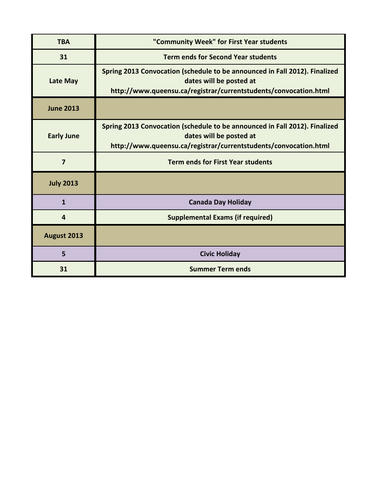| <b>TBA</b>              | "Community Week" for First Year students                                                                                                                                  |
|-------------------------|---------------------------------------------------------------------------------------------------------------------------------------------------------------------------|
| 31                      | <b>Term ends for Second Year students</b>                                                                                                                                 |
| Late May                | Spring 2013 Convocation (schedule to be announced in Fall 2012). Finalized<br>dates will be posted at<br>http://www.queensu.ca/registrar/currentstudents/convocation.html |
| <b>June 2013</b>        |                                                                                                                                                                           |
| <b>Early June</b>       | Spring 2013 Convocation (schedule to be announced in Fall 2012). Finalized<br>dates will be posted at<br>http://www.queensu.ca/registrar/currentstudents/convocation.html |
| $\overline{\mathbf{z}}$ | <b>Term ends for First Year students</b>                                                                                                                                  |
| <b>July 2013</b>        |                                                                                                                                                                           |
| 1                       | <b>Canada Day Holiday</b>                                                                                                                                                 |
| 4                       | <b>Supplemental Exams (if required)</b>                                                                                                                                   |
| August 2013             |                                                                                                                                                                           |
| 5                       | <b>Civic Holiday</b>                                                                                                                                                      |
| 31                      | <b>Summer Term ends</b>                                                                                                                                                   |